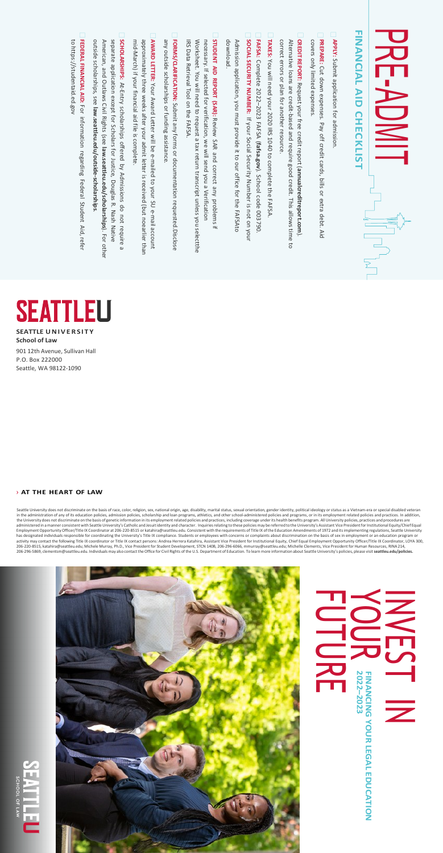**SEATTLE UNIVERSITY School of Law**

901 12th Avenue, Sullivan Hall P.O. Box 222000 Seattle, WA 98122-1090

### › **AT THE HEART OF LAW**

Seattle University does not discriminate on the basis of race, color, religion, sex, national origin, age, disability, marital status, sexual orientation, gender identity, political ideology or status as a Vietnam-era or s in the administration of any of its education policies, admission policies, scholarship and loan programs, athletics, and other school-administered policies and programs, or in its employment related policies and practices the University does not discriminate on the basis of genetic information in its employment related policies and practices, including coverage under its health benefits program. All University policies, practices and proced Employment Opportunity Officer/Title IX Coordinator at 206-220-8515 or [katahira@seattleu.edu.](mailto:katahira@seattleu.edu) Consistent with the requirements of Title IX of the Education Amendments of 1972 and its implementing regulations, Seattle Unive



# **FINANCIAL AID CHECKLIS FINANCIAL AID**

# The conditions and procedures are and procedures are and procedures are and procedures are and procedures are and procedures are and procedures are and procedures are  $\mathbf{R} \in \mathbb{R}$ . The coordinator of program of  $\mathbf{R}$ -ADMIT **CHECKLIST**

# **FINANCIAN YOUR LEGAL EDUCATION 2022 –2023**





- **APPLY:** Submit application for admission.
- **PREPARE:** Cut down expenses. Pay off credit cards, bills or extra debt. Aid covers only limited expenses.
- **CREDIT REPORT:** Request your free credit report (**annualcreditreport.com**). Alternative loans a<br>a credit-based and require good credit. This allows time to correct errors or plan for another resource.
- **TAXES:** You will need your 2020 IRS 1040 to complete the FAFSA.
- **FAFSA:** Complete 2022–2023 FAFSA (**fafsa.gov**). School code 003790. **SOCIAL SECURITY NUMBER:** If your Social Security Number is not on your
- download download. Admission application, you must provide it to our office for the FAFSAto
- **STUDENT AID REPORT (SAR):** Review SAR and correct any problems if necessary. If selected for verification, ≶<br>©  $\stackrel{\le}{=}$ send you a Verification Worksheet. You  $\stackrel{\leq}{=}$ need to request a tax return transcript unless you selectthe IRS Data Retrieval Tool on the FAFSA.
- **FORMS/CLARIFICATION:** Submit any forms or documentation requested.Disclose any outside scholarships or funding assistance.
- **AWARD LETTER:** Your Award Letter  $\stackrel{\le}{=}$ be e-mailed to your SU e-mail account approximately three weeks after your admit letter is received (but noearlier than mid-March) if your financial aid file is complete.
- **SCHOLARSHIPS:** At-Entry scholarships offered হ Admissions do not require a separate application except for Scholars for Justice, Douglas R. Nash Native American, and Outlaws Civil Rights (see **law.seattleu.edu/scholarships**). For other outside scholarships, see **law.seattleu.edu/outside-scholarships**
- **FEDERAL FINANCIAL AID:** For information regarding Federal Student Aid, refer to https://studentaid.ed.gov https://studentaid.ed.gov